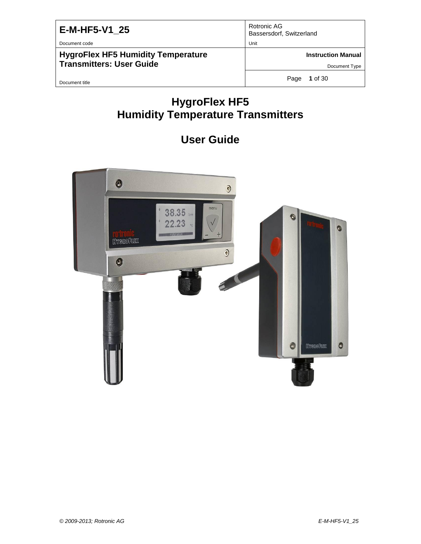Document code Unit

**HygroFlex HF5 Humidity Temperature Transmitters: User Guide**

Rotronic AG Bassersdorf, Switzerland

**Instruction Manual**

Document Type

Document title

Page **1** of 30

# **HygroFlex HF5 Humidity Temperature Transmitters**

# **User Guide**

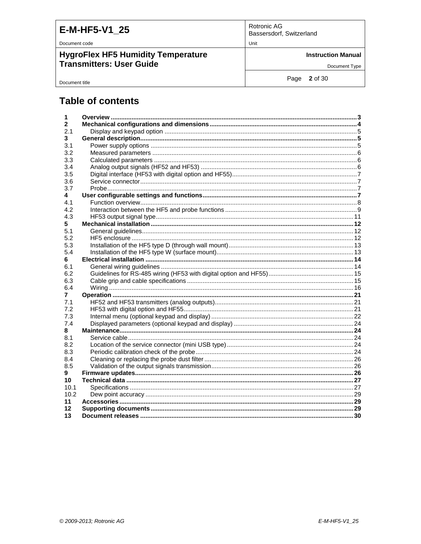| E-M-HF5-V1 25 |  |  |
|---------------|--|--|
|               |  |  |

Document code

Document title

**HygroFlex HF5 Humidity Temperature** Transmitters: User Guide

Rotronic AG Bassersdorf, Switzerland

Unit

**Instruction Manual** 

Document Type

Page 2 of 30

### **Table of contents**

| 1            |  |
|--------------|--|
| $\mathbf{2}$ |  |
| 2.1          |  |
| 3            |  |
| 3.1          |  |
| 3.2          |  |
| 3.3          |  |
| 3.4          |  |
| 3.5          |  |
| 3.6          |  |
| 3.7          |  |
| 4            |  |
| 4.1          |  |
| 4.2          |  |
| 4.3          |  |
| 5            |  |
| 5.1          |  |
| 5.2          |  |
| 5.3          |  |
| 5.4          |  |
| 6.           |  |
| 6.1          |  |
| 6.2          |  |
| 6.3          |  |
| 6.4          |  |
| 7            |  |
| 7.1          |  |
| 7.2          |  |
| 7.3          |  |
| 7.4          |  |
| 8            |  |
| 8.1          |  |
| 8.2          |  |
| 8.3          |  |
| 8.4          |  |
| 8.5          |  |
| 9            |  |
| 10           |  |
| 10.1<br>10.2 |  |
|              |  |
| 11           |  |
| 12           |  |
| 13           |  |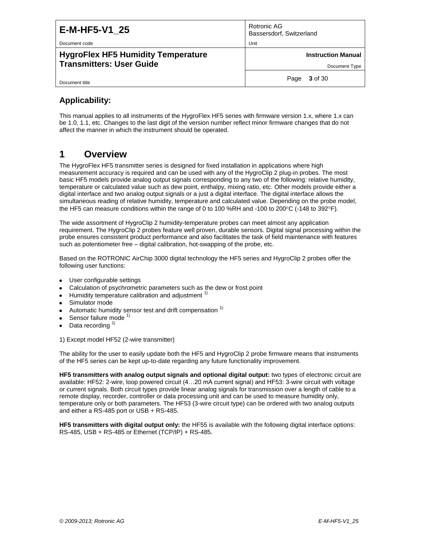Document code **Unit Community Contract Community** Contract Community Contract Community Contract Community Community Community Community Community Community Community Community Community Community Community Community Commu

**HygroFlex HF5 Humidity Temperature Transmitters: User Guide**

Rotronic AG Bassersdorf, Switzerland

**Instruction Manual**

Document Type

Page **3** of 30

**Applicability:**

Document title

This manual applies to all instruments of the HygroFlex HF5 series with firmware version 1.x, where 1.x can be 1.0, 1.1, etc. Changes to the last digit of the version number reflect minor firmware changes that do not affect the manner in which the instrument should be operated.

### <span id="page-2-0"></span>**1 Overview**

The HygroFlex HF5 transmitter series is designed for fixed installation in applications where high measurement accuracy is required and can be used with any of the HygroClip 2 plug-in probes. The most basic HF5 models provide analog output signals corresponding to any two of the following: relative humidity, temperature or calculated value such as dew point, enthalpy, mixing ratio, etc. Other models provide either a digital interface and two analog output signals or a just a digital interface. The digital interface allows the simultaneous reading of relative humidity, temperature and calculated value. Depending on the probe model, the HF5 can measure conditions within the range of 0 to 100 %RH and -100 to 200 $\degree$ C (-148 to 392 $\degree$ F).

The wide assortment of HygroClip 2 humidity-temperature probes can meet almost any application requirement. The HygroClip 2 probes feature well proven, durable sensors. Digital signal processing within the probe ensures consistent product performance and also facilitates the task of field maintenance with features such as potentiometer free – digital calibration, hot-swapping of the probe, etc.

Based on the ROTRONIC AirChip 3000 digital technology the HF5 series and HygroClip 2 probes offer the following user functions:

- User configurable settings
- Calculation of psychrometric parameters such as the dew or frost point
- Humidity temperature calibration and adjustment<sup>1)</sup>
- Simulator mode
- Automatic humidity sensor test and drift compensation <sup>1)</sup>
- Sensor failure mode <sup>1)</sup>
- Data recording  $1$

1) Except model HF52 (2-wire transmitter)

The ability for the user to easily update both the HF5 and HygroClip 2 probe firmware means that instruments of the HF5 series can be kept up-to-date regarding any future functionality improvement.

**HF5 transmitters with analog output signals and optional digital output:** two types of electronic circuit are available: HF52: 2-wire, loop powered circuit (4…20 mA current signal) and HF53: 3-wire circuit with voltage or current signals. Both circuit types provide linear analog signals for transmission over a length of cable to a remote display, recorder, controller or data processing unit and can be used to measure humidity only, temperature only or both parameters. The HF53 (3-wire circuit type) can be ordered with two analog outputs and either a RS-485 port or USB + RS-485.

**HF5 transmitters with digital output only:** the HF55 is available with the following digital interface options: RS-485, USB + RS-485 or Ethernet (TCP/IP) + RS-485.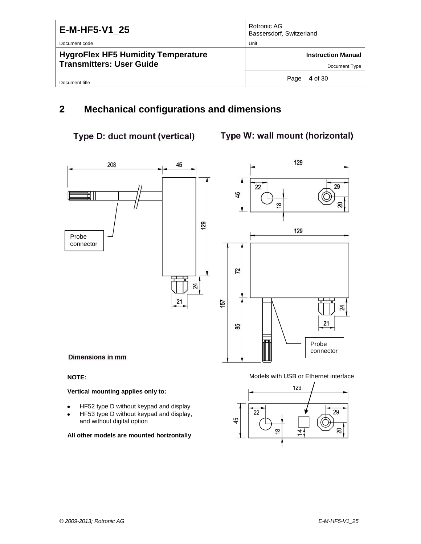| E-M-HF5-V1 25<br>Document code                                               | Rotronic AG<br>Bassersdorf, Switzerland<br>Unit |
|------------------------------------------------------------------------------|-------------------------------------------------|
| <b>HygroFlex HF5 Humidity Temperature</b><br><b>Transmitters: User Guide</b> | <b>Instruction Manual</b><br>Document Type      |
| Document title                                                               | 4 of 30<br>Page                                 |

### <span id="page-3-0"></span>**2 Mechanical configurations and dimensions**

### Type D: duct mount (vertical)

### Type W: wall mount (horizontal)



#### **Vertical mounting applies only to:**

- HF52 type D without keypad and display
- HF53 type D without keypad and display, and without digital option

**All other models are mounted horizontally**

#### **NOTE:** Models with USB or Ethernet interface

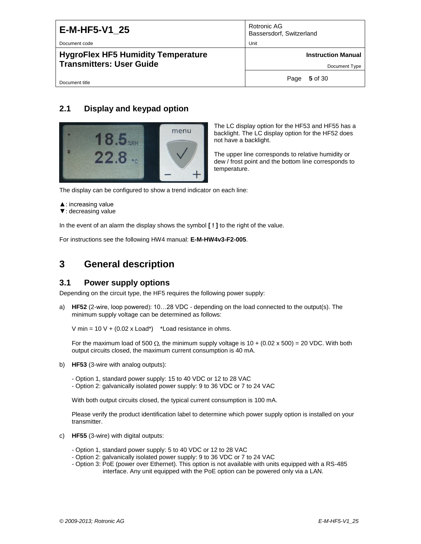Document code **Unit** Unit

Document title

#### **HygroFlex HF5 Humidity Temperature Transmitters: User Guide**

Rotronic AG Bassersdorf, Switzerland

**Instruction Manual**

Document Type

Page **5** of 30

### <span id="page-4-0"></span>**2.1 Display and keypad option**



The LC display option for the HF53 and HF55 has a backlight. The LC display option for the HF52 does not have a backlight.

The upper line corresponds to relative humidity or dew / frost point and the bottom line corresponds to temperature.

The display can be configured to show a trend indicator on each line:

- ▲: increasing value
- ▼: decreasing value

In the event of an alarm the display shows the symbol **[ ! ]** to the right of the value.

For instructions see the following HW4 manual: **E-M-HW4v3-F2-005**.

# <span id="page-4-1"></span>**3 General description**

#### <span id="page-4-2"></span>**3.1 Power supply options**

Depending on the circuit type, the HF5 requires the following power supply:

a) **HF52** (2-wire, loop powered): 10…28 VDC - depending on the load connected to the output(s). The minimum supply voltage can be determined as follows:

V min =  $10 \text{ V} + (0.02 \text{ x }$  Load\*) \*Load resistance in ohms.

For the maximum load of 500  $\Omega$ , the minimum supply voltage is 10 + (0.02 x 500) = 20 VDC. With both output circuits closed, the maximum current consumption is 40 mA.

- b) **HF53** (3-wire with analog outputs):
	- Option 1, standard power supply: 15 to 40 VDC or 12 to 28 VAC
	- Option 2: galvanically isolated power supply: 9 to 36 VDC or 7 to 24 VAC

With both output circuits closed, the typical current consumption is 100 mA.

Please verify the product identification label to determine which power supply option is installed on your transmitter.

- c) **HF55** (3-wire) with digital outputs:
	- Option 1, standard power supply: 5 to 40 VDC or 12 to 28 VAC
	- Option 2: galvanically isolated power supply: 9 to 36 VDC or 7 to 24 VAC
	- Option 3: PoE (power over Ethernet). This option is not available with units equipped with a RS-485 interface. Any unit equipped with the PoE option can be powered only via a LAN.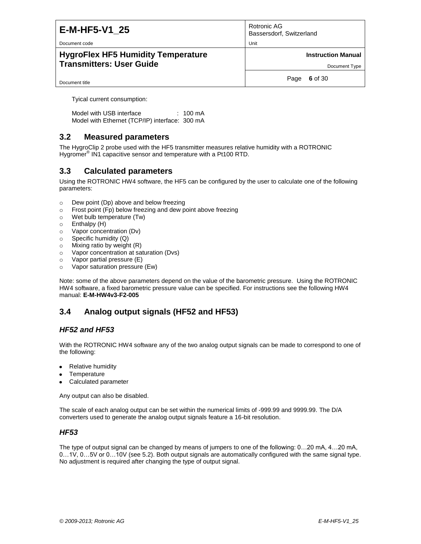Document code **Unit Community Contract Community** Contract Community Contract Community Contract Community Community Community Community Community Community Community Community Community Community Community Community Commu

#### **HygroFlex HF5 Humidity Temperature Transmitters: User Guide**

| Rotronic AG              |  |
|--------------------------|--|
| Bassersdorf, Switzerland |  |

**Instruction Manual**

Document Type

Page **6** of 30

Document title

Tyical current consumption:

Model with USB interface : 100 mA Model with Ethernet (TCP/IP) interface: 300 mA

### <span id="page-5-0"></span>**3.2 Measured parameters**

The HygroClip 2 probe used with the HF5 transmitter measures relative humidity with a ROTRONIC Hygromer<sup>®</sup> IN1 capacitive sensor and temperature with a Pt100 RTD.

### <span id="page-5-1"></span>**3.3 Calculated parameters**

Using the ROTRONIC HW4 software, the HF5 can be configured by the user to calculate one of the following parameters:

- o Dew point (Dp) above and below freezing
- o Frost point (Fp) below freezing and dew point above freezing
- o Wet bulb temperature (Tw)
- o Enthalpy (H)
- o Vapor concentration (Dv)
- o Specific humidity (Q)
- o Mixing ratio by weight (R)
- o Vapor concentration at saturation (Dvs)
- o Vapor partial pressure (E)
- o Vapor saturation pressure (Ew)

Note: some of the above parameters depend on the value of the barometric pressure. Using the ROTRONIC HW4 software, a fixed barometric pressure value can be specified. For instructions see the following HW4 manual: **E-M-HW4v3-F2-005**

### <span id="page-5-2"></span>**3.4 Analog output signals (HF52 and HF53)**

### *HF52 and HF53*

With the ROTRONIC HW4 software any of the two analog output signals can be made to correspond to one of the following:

- Relative humidity
- **Temperature**
- Calculated parameter

Any output can also be disabled.

The scale of each analog output can be set within the numerical limits of -999.99 and 9999.99. The D/A converters used to generate the analog output signals feature a 16-bit resolution.

#### *HF53*

The type of output signal can be changed by means of jumpers to one of the following: 0…20 mA, 4…20 mA, 0…1V, 0…5V or 0…10V (see 5.2). Both output signals are automatically configured with the same signal type. No adjustment is required after changing the type of output signal.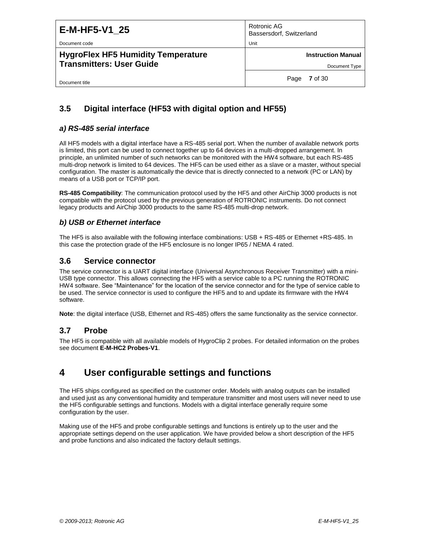| E-M-HF5-V1 25                             | Rotronic AG<br>Bassersdorf, Switzerland |
|-------------------------------------------|-----------------------------------------|
| Document code                             | Unit                                    |
| <b>HygroFlex HF5 Humidity Temperature</b> | <b>Instruction Manual</b>               |
| <b>Transmitters: User Guide</b>           | Document Type                           |
| Document title                            | <b>7</b> of 30<br>Page                  |

### <span id="page-6-0"></span>**3.5 Digital interface (HF53 with digital option and HF55)**

#### *a) RS-485 serial interface*

All HF5 models with a digital interface have a RS-485 serial port. When the number of available network ports is limited, this port can be used to connect together up to 64 devices in a multi-dropped arrangement. In principle, an unlimited number of such networks can be monitored with the HW4 software, but each RS-485 multi-drop network is limited to 64 devices. The HF5 can be used either as a slave or a master, without special configuration. The master is automatically the device that is directly connected to a network (PC or LAN) by means of a USB port or TCP/IP port.

**RS-485 Compatibility**: The communication protocol used by the HF5 and other AirChip 3000 products is not compatible with the protocol used by the previous generation of ROTRONIC instruments. Do not connect legacy products and AirChip 3000 products to the same RS-485 multi-drop network.

#### *b) USB or Ethernet interface*

The HF5 is also available with the following interface combinations: USB + RS-485 or Ethernet +RS-485. In this case the protection grade of the HF5 enclosure is no longer IP65 / NEMA 4 rated.

#### <span id="page-6-1"></span>**3.6 Service connector**

The service connector is a UART digital interface (Universal Asynchronous Receiver Transmitter) with a mini-USB type connector. This allows connecting the HF5 with a service cable to a PC running the ROTRONIC HW4 software. See "Maintenance" for the location of the service connector and for the type of service cable to be used. The service connector is used to configure the HF5 and to and update its firmware with the HW4 software.

<span id="page-6-2"></span>**Note**: the digital interface (USB, Ethernet and RS-485) offers the same functionality as the service connector.

#### **3.7 Probe**

The HF5 is compatible with all available models of HygroClip 2 probes. For detailed information on the probes see document **E-M-HC2 Probes-V1**.

### <span id="page-6-3"></span>**4 User configurable settings and functions**

The HF5 ships configured as specified on the customer order. Models with analog outputs can be installed and used just as any conventional humidity and temperature transmitter and most users will never need to use the HF5 configurable settings and functions. Models with a digital interface generally require some configuration by the user.

Making use of the HF5 and probe configurable settings and functions is entirely up to the user and the appropriate settings depend on the user application. We have provided below a short description of the HF5 and probe functions and also indicated the factory default settings.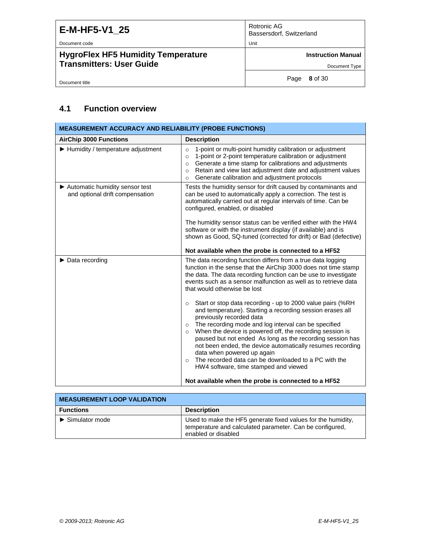Document code Unit

**HygroFlex HF5 Humidity Temperature Transmitters: User Guide**

Rotronic AG Bassersdorf, Switzerland

**Instruction Manual**

Document Type

Document title

Page **8** of 30

### <span id="page-7-0"></span>**4.1 Function overview**

| <b>MEASUREMENT ACCURACY AND RELIABILITY (PROBE FUNCTIONS)</b>       |                                                                                                                                                                                                                                                                                                                                                                                                                                                                                                                                                                               |  |
|---------------------------------------------------------------------|-------------------------------------------------------------------------------------------------------------------------------------------------------------------------------------------------------------------------------------------------------------------------------------------------------------------------------------------------------------------------------------------------------------------------------------------------------------------------------------------------------------------------------------------------------------------------------|--|
| <b>AirChip 3000 Functions</b>                                       | <b>Description</b>                                                                                                                                                                                                                                                                                                                                                                                                                                                                                                                                                            |  |
| $\blacktriangleright$ Humidity / temperature adjustment             | 1-point or multi-point humidity calibration or adjustment<br>$\circ$<br>1-point or 2-point temperature calibration or adjustment<br>$\circ$<br>Generate a time stamp for calibrations and adjustments<br>$\circ$<br>Retain and view last adjustment date and adjustment values<br>$\circ$<br>Generate calibration and adjustment protocols<br>$\circ$                                                                                                                                                                                                                         |  |
| ▶ Automatic humidity sensor test<br>and optional drift compensation | Tests the humidity sensor for drift caused by contaminants and<br>can be used to automatically apply a correction. The test is<br>automatically carried out at regular intervals of time. Can be<br>configured, enabled, or disabled                                                                                                                                                                                                                                                                                                                                          |  |
|                                                                     | The humidity sensor status can be verified either with the HW4<br>software or with the instrument display (if available) and is<br>shown as Good, SQ-tuned (corrected for drift) or Bad (defective)                                                                                                                                                                                                                                                                                                                                                                           |  |
|                                                                     | Not available when the probe is connected to a HF52                                                                                                                                                                                                                                                                                                                                                                                                                                                                                                                           |  |
| $\triangleright$ Data recording                                     | The data recording function differs from a true data logging<br>function in the sense that the AirChip 3000 does not time stamp<br>the data. The data recording function can be use to investigate<br>events such as a sensor malfunction as well as to retrieve data<br>that would otherwise be lost                                                                                                                                                                                                                                                                         |  |
|                                                                     | Start or stop data recording - up to 2000 value pairs (%RH<br>$\circ$<br>and temperature). Starting a recording session erases all<br>previously recorded data<br>The recording mode and log interval can be specified<br>$\circ$<br>When the device is powered off, the recording session is<br>$\circ$<br>paused but not ended As long as the recording session has<br>not been ended, the device automatically resumes recording<br>data when powered up again<br>The recorded data can be downloaded to a PC with the<br>$\circ$<br>HW4 software, time stamped and viewed |  |
|                                                                     | Not available when the probe is connected to a HF52                                                                                                                                                                                                                                                                                                                                                                                                                                                                                                                           |  |

| <b>MEASUREMENT LOOP VALIDATION</b>   |                                                                                                                                                 |  |  |
|--------------------------------------|-------------------------------------------------------------------------------------------------------------------------------------------------|--|--|
| <b>Functions</b>                     | <b>Description</b>                                                                                                                              |  |  |
| $\blacktriangleright$ Simulator mode | Used to make the HF5 generate fixed values for the humidity,<br>temperature and calculated parameter. Can be configured,<br>enabled or disabled |  |  |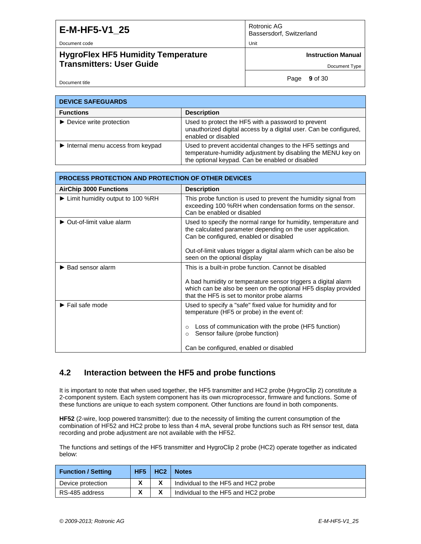Document code Unit

Document title

#### **HygroFlex HF5 Humidity Temperature Transmitters: User Guide**

Rotronic AG Bassersdorf, Switzerland

**Instruction Manual**

Document Type

Page **9** of 30

| <b>DEVICE SAFEGUARDS</b>                               |                                                                                                                                                                               |  |
|--------------------------------------------------------|-------------------------------------------------------------------------------------------------------------------------------------------------------------------------------|--|
| <b>Functions</b>                                       | <b>Description</b>                                                                                                                                                            |  |
| $\triangleright$ Device write protection               | Used to protect the HF5 with a password to prevent<br>unauthorized digital access by a digital user. Can be configured,<br>enabled or disabled                                |  |
| $\blacktriangleright$ Internal menu access from keypad | Used to prevent accidental changes to the HF5 settings and<br>temperature-humidity adjustment by disabling the MENU key on<br>the optional keypad. Can be enabled or disabled |  |

| <b>PROCESS PROTECTION AND PROTECTION OF OTHER DEVICES</b> |                                                                                                                                                                                |  |
|-----------------------------------------------------------|--------------------------------------------------------------------------------------------------------------------------------------------------------------------------------|--|
| <b>AirChip 3000 Functions</b>                             | <b>Description</b>                                                                                                                                                             |  |
| ► Limit humidity output to 100 %RH                        | This probe function is used to prevent the humidity signal from<br>exceeding 100 %RH when condensation forms on the sensor.<br>Can be enabled or disabled                      |  |
| $\triangleright$ Out-of-limit value alarm                 | Used to specify the normal range for humidity, temperature and<br>the calculated parameter depending on the user application.<br>Can be configured, enabled or disabled        |  |
|                                                           | Out-of-limit values trigger a digital alarm which can be also be<br>seen on the optional display                                                                               |  |
| ▶ Bad sensor alarm                                        | This is a built-in probe function. Cannot be disabled                                                                                                                          |  |
|                                                           | A bad humidity or temperature sensor triggers a digital alarm<br>which can be also be seen on the optional HF5 display provided<br>that the HF5 is set to monitor probe alarms |  |
| $\blacktriangleright$ Fail safe mode                      | Used to specify a "safe" fixed value for humidity and for<br>temperature (HF5 or probe) in the event of:                                                                       |  |
|                                                           | Loss of communication with the probe (HF5 function)<br>$\circ$<br>Sensor failure (probe function)<br>$\circ$                                                                   |  |
|                                                           | Can be configured, enabled or disabled                                                                                                                                         |  |

### <span id="page-8-0"></span>**4.2 Interaction between the HF5 and probe functions**

It is important to note that when used together, the HF5 transmitter and HC2 probe (HygroClip 2) constitute a 2-component system. Each system component has its own microprocessor, firmware and functions. Some of these functions are unique to each system component. Other functions are found in both components.

**HF52** (2-wire, loop powered transmitter): due to the necessity of limiting the current consumption of the combination of HF52 and HC2 probe to less than 4 mA, several probe functions such as RH sensor test, data recording and probe adjustment are not available with the HF52.

The functions and settings of the HF5 transmitter and HygroClip 2 probe (HC2) operate together as indicated below:

| <b>Function / Setting</b> | HF <sub>5</sub> | HC <sub>2</sub> | <b>Notes</b>                        |
|---------------------------|-----------------|-----------------|-------------------------------------|
| Device protection         |                 |                 | Individual to the HF5 and HC2 probe |
| RS-485 address            |                 |                 | Individual to the HF5 and HC2 probe |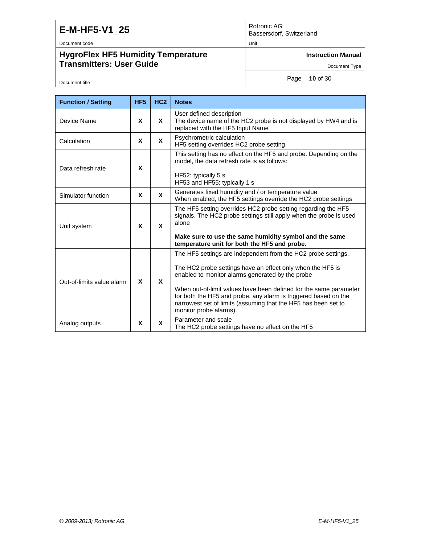Document code Unit

Document title

### **HygroFlex HF5 Humidity Temperature Transmitters: User Guide**

Rotronic AG Bassersdorf, Switzerland

**Instruction Manual**

Document Type

Page **10** of 30

| <b>Function / Setting</b> | HF <sub>5</sub> | HC <sub>2</sub> | <b>Notes</b>                                                                                                                                                                                                                                                                                                                                                                                                        |
|---------------------------|-----------------|-----------------|---------------------------------------------------------------------------------------------------------------------------------------------------------------------------------------------------------------------------------------------------------------------------------------------------------------------------------------------------------------------------------------------------------------------|
| Device Name               | X               | X               | User defined description<br>The device name of the HC2 probe is not displayed by HW4 and is<br>replaced with the HF5 Input Name                                                                                                                                                                                                                                                                                     |
| Calculation               | X               | X               | Psychrometric calculation<br>HF5 setting overrides HC2 probe setting                                                                                                                                                                                                                                                                                                                                                |
| Data refresh rate         | X               |                 | This setting has no effect on the HF5 and probe. Depending on the<br>model, the data refresh rate is as follows:<br>HF52: typically 5 s<br>HF53 and HF55: typically 1 s                                                                                                                                                                                                                                             |
| Simulator function        | X               | X               | Generates fixed humidity and / or temperature value<br>When enabled, the HF5 settings override the HC2 probe settings                                                                                                                                                                                                                                                                                               |
| Unit system               | X               | <b>X</b>        | The HF5 setting overrides HC2 probe setting regarding the HF5<br>signals. The HC2 probe settings still apply when the probe is used<br>alone<br>Make sure to use the same humidity symbol and the same<br>temperature unit for both the HF5 and probe.                                                                                                                                                              |
| Out-of-limits value alarm | X               | X               | The HF5 settings are independent from the HC2 probe settings.<br>The HC2 probe settings have an effect only when the HF5 is<br>enabled to monitor alarms generated by the probe<br>When out-of-limit values have been defined for the same parameter<br>for both the HF5 and probe, any alarm is triggered based on the<br>narrowest set of limits (assuming that the HF5 has been set to<br>monitor probe alarms). |
| Analog outputs            | X               | X               | Parameter and scale<br>The HC2 probe settings have no effect on the HF5                                                                                                                                                                                                                                                                                                                                             |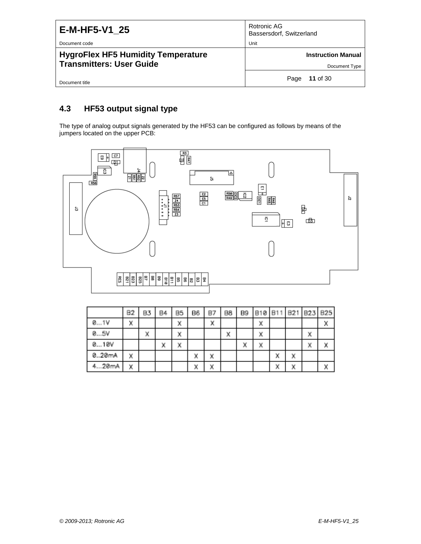| E-M-HF5-V1 25                                                                                 | Rotronic AG<br>Bassersdorf, Switzerland            |
|-----------------------------------------------------------------------------------------------|----------------------------------------------------|
| Document code<br><b>HygroFlex HF5 Humidity Temperature</b><br><b>Transmitters: User Guide</b> | Unit<br><b>Instruction Manual</b><br>Document Type |
| Document title                                                                                | <b>11</b> of 30<br>Page                            |

### <span id="page-10-0"></span>**4.3 HF53 output signal type**

The type of analog output signals generated by the HF53 can be configured as follows by means of the jumpers located on the upper PCB:



|       | 82 | B3 | B4 | B <sub>5</sub> | B6 | B7 | 88 | B9 | <b>B10</b> | B11 | B21 | B23     | B25 |
|-------|----|----|----|----------------|----|----|----|----|------------|-----|-----|---------|-----|
| 01V   | x  |    |    | Χ              |    | ×  |    |    | х          |     |     |         | Χ   |
| 05V   |    | x  |    | x              |    |    | X  |    | х          |     |     | х       |     |
| 010V  |    |    | ×  | x              |    |    |    | Χ  | x          |     |     | v<br>n, | ×   |
| 020mA | x  |    |    |                | х  | X  |    |    |            | x   | x   |         |     |
| 20mA  | Χ  |    |    |                | Χ  | Χ  |    |    |            | x   | Χ   |         | Χ   |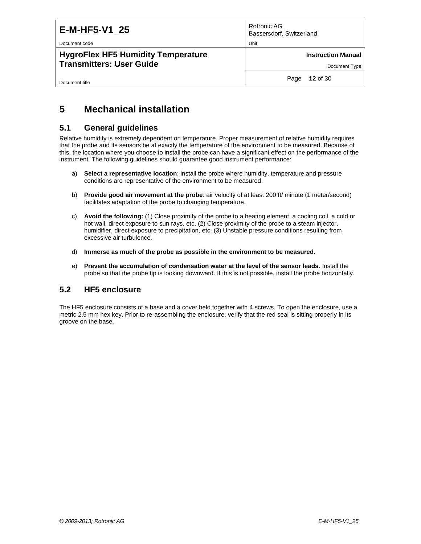Document code **Unit** 

**HygroFlex HF5 Humidity Temperature Transmitters: User Guide**

Rotronic AG Bassersdorf, Switzerland

**Instruction Manual**

Document Type

Document title

Page **12** of 30

### <span id="page-11-0"></span>**5 Mechanical installation**

#### <span id="page-11-1"></span>**5.1 General guidelines**

Relative humidity is extremely dependent on temperature. Proper measurement of relative humidity requires that the probe and its sensors be at exactly the temperature of the environment to be measured. Because of this, the location where you choose to install the probe can have a significant effect on the performance of the instrument. The following guidelines should guarantee good instrument performance:

- a) **Select a representative location**: install the probe where humidity, temperature and pressure conditions are representative of the environment to be measured.
- b) **Provide good air movement at the probe**: air velocity of at least 200 ft/ minute (1 meter/second) facilitates adaptation of the probe to changing temperature.
- c) **Avoid the following:** (1) Close proximity of the probe to a heating element, a cooling coil, a cold or hot wall, direct exposure to sun rays, etc. (2) Close proximity of the probe to a steam injector, humidifier, direct exposure to precipitation, etc. (3) Unstable pressure conditions resulting from excessive air turbulence.
- d) **Immerse as much of the probe as possible in the environment to be measured.**
- e) **Prevent the accumulation of condensation water at the level of the sensor leads**. Install the probe so that the probe tip is looking downward. If this is not possible, install the probe horizontally.

#### <span id="page-11-2"></span>**5.2 HF5 enclosure**

The HF5 enclosure consists of a base and a cover held together with 4 screws. To open the enclosure, use a metric 2.5 mm hex key. Prior to re-assembling the enclosure, verify that the red seal is sitting properly in its groove on the base.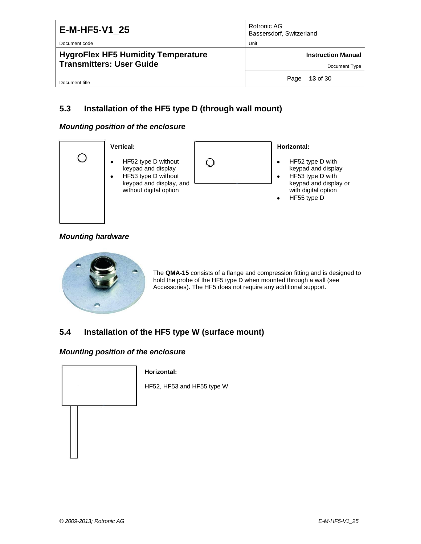| E-M-HF5-V1 25<br>Document code                                               | Rotronic AG<br>Bassersdorf, Switzerland<br>Unit |
|------------------------------------------------------------------------------|-------------------------------------------------|
| <b>HygroFlex HF5 Humidity Temperature</b><br><b>Transmitters: User Guide</b> | <b>Instruction Manual</b><br>Document Type      |
| Document title                                                               | 13 of 30<br>Page                                |

### <span id="page-12-0"></span>**5.3 Installation of the HF5 type D (through wall mount)**

#### *Mounting position of the enclosure*



#### *Mounting hardware*



The **QMA-15** consists of a flange and compression fitting and is designed to hold the probe of the HF5 type D when mounted through a wall (see Accessories). The HF5 does not require any additional support.

### <span id="page-12-1"></span>**5.4 Installation of the HF5 type W (surface mount)**

#### *Mounting position of the enclosure*



#### **Horizontal:**

HF52, HF53 and HF55 type W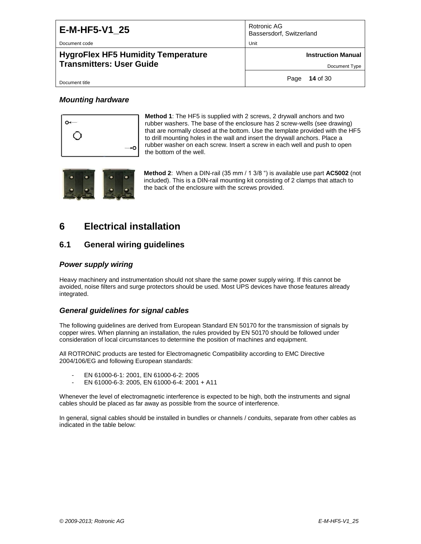Document code **Unit** Unit Communication of the Unit Communication of the Unit Communication of the Unit Communication of the Unit Communication of the Unit Communication of the Unit Communication of the Unit Communication

Document title

#### **HygroFlex HF5 Humidity Temperature Transmitters: User Guide**

Rotronic AG Bassersdorf, Switzerland

**Instruction Manual**

Document Type

Page **14** of 30

#### *Mounting hardware*



**Method 1**: The HF5 is supplied with 2 screws, 2 drywall anchors and two rubber washers. The base of the enclosure has 2 screw-wells (see drawing) that are normally closed at the bottom. Use the template provided with the HF5 to drill mounting holes in the wall and insert the drywall anchors. Place a rubber washer on each screw. Insert a screw in each well and push to open the bottom of the well.



**Method 2**: When a DIN-rail (35 mm / 1 3/8 ") is available use part **AC5002** (not included). This is a DIN-rail mounting kit consisting of 2 clamps that attach to the back of the enclosure with the screws provided.

### <span id="page-13-0"></span>**6 Electrical installation**

### <span id="page-13-1"></span>**6.1 General wiring guidelines**

#### *Power supply wiring*

Heavy machinery and instrumentation should not share the same power supply wiring. If this cannot be avoided, noise filters and surge protectors should be used. Most UPS devices have those features already integrated.

#### *General guidelines for signal cables*

The following guidelines are derived from European Standard EN 50170 for the transmission of signals by copper wires. When planning an installation, the rules provided by EN 50170 should be followed under consideration of local circumstances to determine the position of machines and equipment.

All ROTRONIC products are tested for Electromagnetic Compatibility according to EMC Directive 2004/106/EG and following European standards:

- EN 61000-6-1: 2001, EN 61000-6-2: 2005
- EN 61000-6-3: 2005, EN 61000-6-4: 2001 + A11

Whenever the level of electromagnetic interference is expected to be high, both the instruments and signal cables should be placed as far away as possible from the source of interference.

In general, signal cables should be installed in bundles or channels / conduits, separate from other cables as indicated in the table below: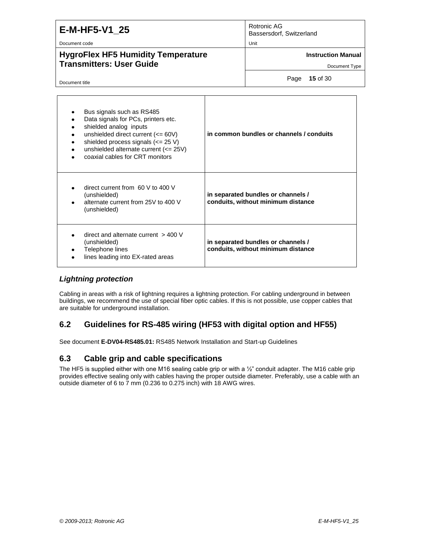| E-M-HF5-V1 25 |  |
|---------------|--|
|               |  |

Document code Unit

### **HygroFlex HF5 Humidity Temperature Transmitters: User Guide**

Rotronic AG Bassersdorf, Switzerland

**Instruction Manual**

Document Type

Document title

Page **15** of 30

| Bus signals such as RS485<br>Data signals for PCs, printers etc.<br>shielded analog inputs<br>unshielded direct current $\left(<=60\right)$<br>shielded process signals $\left(<=25 \text{ V}\right)$<br>unshielded alternate current (<= 25V)<br>coaxial cables for CRT monitors | in common bundles or channels / conduits                                 |
|-----------------------------------------------------------------------------------------------------------------------------------------------------------------------------------------------------------------------------------------------------------------------------------|--------------------------------------------------------------------------|
| direct current from 60 V to 400 V<br>(unshielded)<br>alternate current from 25V to 400 V<br>(unshielded)                                                                                                                                                                          | in separated bundles or channels /<br>conduits, without minimum distance |
| direct and alternate current $>$ 400 V<br>(unshielded)<br>Telephone lines<br>lines leading into EX-rated areas                                                                                                                                                                    | in separated bundles or channels /<br>conduits, without minimum distance |

#### *Lightning protection*

Cabling in areas with a risk of lightning requires a lightning protection. For cabling underground in between buildings, we recommend the use of special fiber optic cables. If this is not possible, use copper cables that are suitable for underground installation.

### <span id="page-14-0"></span>**6.2 Guidelines for RS-485 wiring (HF53 with digital option and HF55)**

<span id="page-14-1"></span>See document **E-DV04-RS485.01:** RS485 Network Installation and Start-up Guidelines

### **6.3 Cable grip and cable specifications**

The HF5 is supplied either with one M16 sealing cable grip or with a  $\frac{1}{2}$ " conduit adapter. The M16 cable grip provides effective sealing only with cables having the proper outside diameter. Preferably, use a cable with an outside diameter of 6 to 7 mm (0.236 to 0.275 inch) with 18 AWG wires.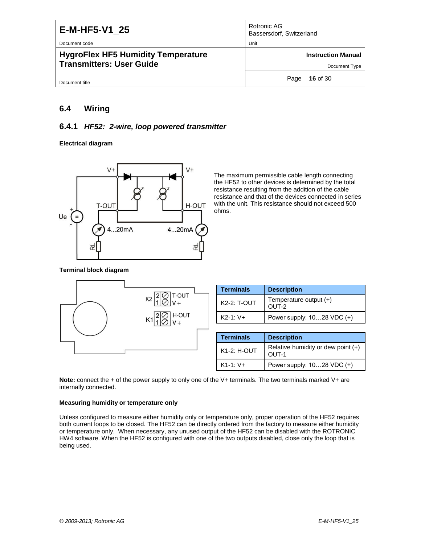| E-M-HF5-V1 25<br>Document code                                               | Rotronic AG<br>Bassersdorf, Switzerland<br>Unit |
|------------------------------------------------------------------------------|-------------------------------------------------|
| <b>HygroFlex HF5 Humidity Temperature</b><br><b>Transmitters: User Guide</b> | <b>Instruction Manual</b><br>Document Type      |
| Document title                                                               | <b>16 of 30</b><br>Page                         |

#### <span id="page-15-0"></span>**6.4 Wiring**

#### **6.4.1** *HF52: 2-wire, loop powered transmitter*

**Electrical diagram**



The maximum permissible cable length connecting the HF52 to other devices is determined by the total resistance resulting from the addition of the cable resistance and that of the devices connected in series with the unit. This resistance should not exceed 500 ohms.

#### **Terminal block diagram**



**Note:** connect the + of the power supply to only one of the V+ terminals. The two terminals marked V+ are internally connected.

#### **Measuring humidity or temperature only**

Unless configured to measure either humidity only or temperature only, proper operation of the HF52 requires both current loops to be closed. The HF52 can be directly ordered from the factory to measure either humidity or temperature only. When necessary, any unused output of the HF52 can be disabled with the ROTRONIC HW4 software. When the HF52 is configured with one of the two outputs disabled, close only the loop that is being used.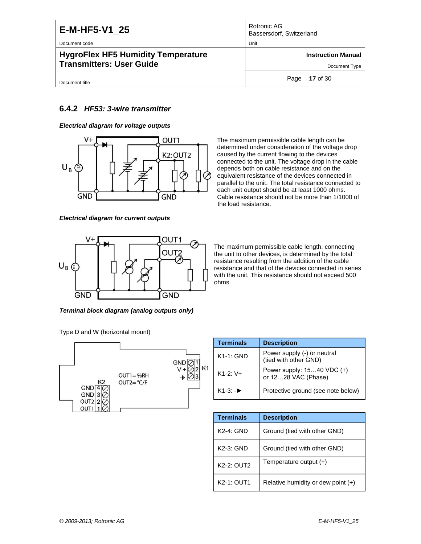Document code Unit

#### **HygroFlex HF5 Humidity Temperature Transmitters: User Guide**

Rotronic AG Bassersdorf, Switzerland

**Instruction Manual**

Document Type

Page **17** of 30

#### Document title

#### **6.4.2** *HF53: 3-wire transmitter*

*Electrical diagram for voltage outputs*



*Electrical diagram for current outputs*



*Terminal block diagram (analog outputs only)*

Type D and W (horizontal mount)



| The maximum permissible cable length can be             |
|---------------------------------------------------------|
| determined under consideration of the voltage drop      |
| caused by the current flowing to the devices            |
| connected to the unit. The voltage drop in the cable    |
| depends both on cable resistance and on the             |
| equivalent resistance of the devices connected in       |
| parallel to the unit. The total resistance connected to |
| each unit output should be at least 1000 ohms.          |
| Cable resistance should not be more than 1/1000 of      |
| the load resistance.                                    |
|                                                         |

The maximum permissible cable length, connecting the unit to other devices, is determined by the total resistance resulting from the addition of the cable resistance and that of the devices connected in series with the unit. This resistance should not exceed 500 ohms.

| <b>Terminals</b>       | <b>Description</b>                                    |  |  |
|------------------------|-------------------------------------------------------|--|--|
| $K1-1$ : GND           | Power supply (-) or neutral<br>(tied with other GND)  |  |  |
| $K1-2:V+$              | Power supply: $1540$ VDC $(+)$<br>or 1228 VAC (Phase) |  |  |
| $K1-3$ : $\rightarrow$ | Protective ground (see note below)                    |  |  |

| <b>Terminals</b> | <b>Description</b>                 |
|------------------|------------------------------------|
| $K2-4: GND$      | Ground (tied with other GND)       |
| K2-3: GND        | Ground (tied with other GND)       |
| K2-2: OUT2       | Temperature output $(+)$           |
| K2-1: OUT1       | Relative humidity or dew point (+) |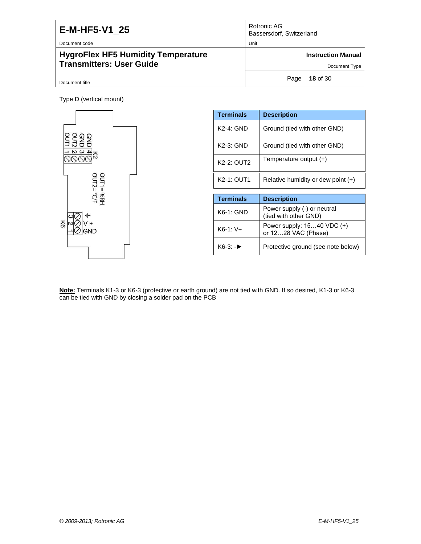Document code

### **HygroFlex HF5 Humidity Temperature Transmitters: User Guide**

| Rotronic AG<br>Bassersdorf, Switzerland |  |
|-----------------------------------------|--|
| Unit                                    |  |

**Instruction Manual**

Document Type

Page **18** of 30

Document title

Type D (vertical mount)



| <b>Terminals</b> | <b>Description</b>                                   |
|------------------|------------------------------------------------------|
| K2-4: GND        | Ground (tied with other GND)                         |
| K2-3: GND        | Ground (tied with other GND)                         |
| K2-2: OUT2       | Temperature output $(+)$                             |
| K2-1: OUT1       | Relative humidity or dew point $(+)$                 |
|                  |                                                      |
| <b>Terminals</b> | <b>Description</b>                                   |
| K6-1: GND        | Power supply (-) or neutral<br>(tied with other GND) |
| $K6-1:V+$        | Power supply: 1540 VDC (+)<br>or 1228 VAC (Phase)    |
| K6-3: -▶         | Protective ground (see note below)                   |

**Note:** Terminals K1-3 or K6-3 (protective or earth ground) are not tied with GND. If so desired, K1-3 or K6-3 can be tied with GND by closing a solder pad on the PCB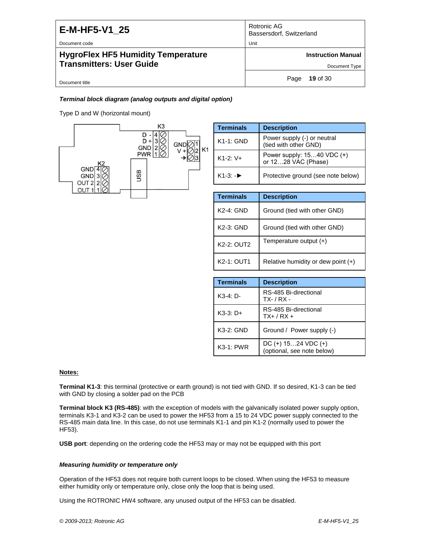Document code Unit

#### **HygroFlex HF5 Humidity Temperature Transmitters: User Guide**

| Rotronic AG              |  |
|--------------------------|--|
| Bassersdorf, Switzerland |  |

**Instruction Manual**

Document Type

Page **19** of 30

#### Document title

#### *Terminal block diagram (analog outputs and digital option)*

Type D and W (horizontal mount)



| <b>Terminals</b>       | <b>Description</b>                                   |
|------------------------|------------------------------------------------------|
| $K1-1: GND$            | Power supply (-) or neutral<br>(tied with other GND) |
| $K1-2:V+$              | Power supply: 1540 VDC (+)<br>or 1228 VÁC (Phase)    |
| $K1-3$ : $\rightarrow$ | Protective ground (see note below)                   |

| <b>Terminals</b> | <b>Description</b>                   |
|------------------|--------------------------------------|
| $K2-4$ : GND     | Ground (tied with other GND)         |
| $K2-3$ : GND     | Ground (tied with other GND)         |
| K2-2: OUT2       | Temperature output $(+)$             |
| K2-1: OUT1       | Relative humidity or dew point $(+)$ |

| <b>Terminals</b> | <b>Description</b>                                  |
|------------------|-----------------------------------------------------|
| $K3-4: D-$       | RS-485 Bi-directional<br>$TX - / RX -$              |
| $K3-3: D+$       | RS-485 Bi-directional<br>$TX+ / RX +$               |
| K3-2: GND        | Ground / Power supply (-)                           |
| $K3-1$ : PWR     | $DC (+) 1524 VDC (+)$<br>(optional, see note below) |

#### **Notes:**

**Terminal K1-3**: this terminal (protective or earth ground) is not tied with GND. If so desired, K1-3 can be tied with GND by closing a solder pad on the PCB

**Terminal block K3 (RS-485)**: with the exception of models with the galvanically isolated power supply option, terminals K3-1 and K3-2 can be used to power the HF53 from a 15 to 24 VDC power supply connected to the RS-485 main data line. In this case, do not use terminals K1-1 and pin K1-2 (normally used to power the HF53).

**USB port**: depending on the ordering code the HF53 may or may not be equipped with this port

#### *Measuring humidity or temperature only*

Operation of the HF53 does not require both current loops to be closed. When using the HF53 to measure either humidity only or temperature only, close only the loop that is being used.

Using the ROTRONIC HW4 software, any unused output of the HF53 can be disabled.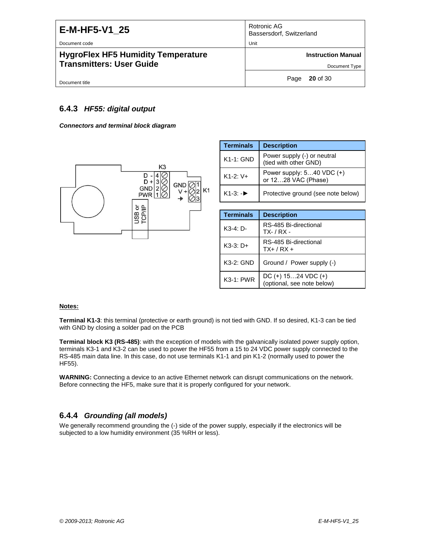| E-M-HF5-V1 25<br>Document code                                               | Rotronic AG<br>Bassersdorf, Switzerland<br>Unit |
|------------------------------------------------------------------------------|-------------------------------------------------|
| <b>HygroFlex HF5 Humidity Temperature</b><br><b>Transmitters: User Guide</b> | <b>Instruction Manual</b><br>Document Type      |
| Document title                                                               | $20$ of 30<br>Page                              |

#### **6.4.3** *HF55: digital output*

*Connectors and terminal block diagram*



| <b>Terminals</b>       | <b>Description</b>                                   |
|------------------------|------------------------------------------------------|
| $K1-1$ : GND           | Power supply (-) or neutral<br>(tied with other GND) |
| $K1 - 2 \cdot V +$     | Power supply: $540$ VDC $(+)$<br>or 1228 VAC (Phase) |
| $K1-3$ : $\rightarrow$ | Protective ground (see note below)                   |

| <b>Terminals</b> | <b>Description</b>                                  |
|------------------|-----------------------------------------------------|
| K3-4: D-         | RS-485 Bi-directional<br>$TX - / RX -$              |
| $K3-3: D+$       | RS-485 Bi-directional<br>$TX + / RX +$              |
| K3-2: GND        | Ground / Power supply (-)                           |
| $K3-1: PWR$      | $DC (+) 1524 VDC (+)$<br>(optional, see note below) |

#### **Notes:**

**Terminal K1-3**: this terminal (protective or earth ground) is not tied with GND. If so desired, K1-3 can be tied with GND by closing a solder pad on the PCB

**Terminal block K3 (RS-485)**: with the exception of models with the galvanically isolated power supply option, terminals K3-1 and K3-2 can be used to power the HF55 from a 15 to 24 VDC power supply connected to the RS-485 main data line. In this case, do not use terminals K1-1 and pin K1-2 (normally used to power the HF55).

**WARNING:** Connecting a device to an active Ethernet network can disrupt communications on the network. Before connecting the HF5, make sure that it is properly configured for your network.

#### **6.4.4** *Grounding (all models)*

We generally recommend grounding the (-) side of the power supply, especially if the electronics will be subjected to a low humidity environment (35 %RH or less).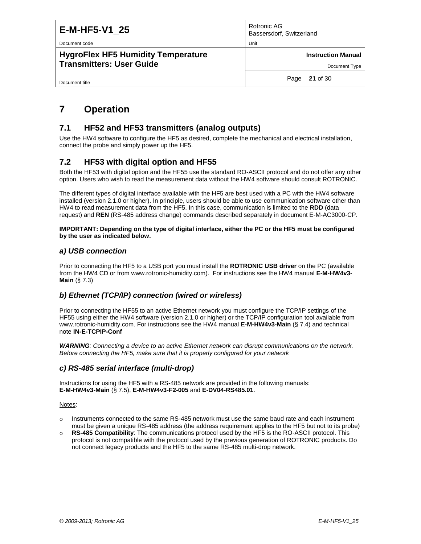Document code **Unit Community Contract Community** Contract Community Contract Community Contract Community Community Community Community Community Community Community Community Community Community Community Community Commu

Document title

**HygroFlex HF5 Humidity Temperature Transmitters: User Guide**

Rotronic AG Bassersdorf, Switzerland

**Instruction Manual**

Page **21** of 30

# <span id="page-20-0"></span>**7 Operation**

### <span id="page-20-1"></span>**7.1 HF52 and HF53 transmitters (analog outputs)**

Use the HW4 software to configure the HF5 as desired, complete the mechanical and electrical installation, connect the probe and simply power up the HF5.

### <span id="page-20-2"></span>**7.2 HF53 with digital option and HF55**

Both the HF53 with digital option and the HF55 use the standard RO-ASCII protocol and do not offer any other option. Users who wish to read the measurement data without the HW4 software should consult ROTRONIC.

The different types of digital interface available with the HF5 are best used with a PC with the HW4 software installed (version 2.1.0 or higher). In principle, users should be able to use communication software other than HW4 to read measurement data from the HF5. In this case, communication is limited to the **RDD** (data request) and **REN** (RS-485 address change) commands described separately in document E-M-AC3000-CP.

**IMPORTANT: Depending on the type of digital interface, either the PC or the HF5 must be configured by the user as indicated below.**

#### *a) USB connection*

Prior to connecting the HF5 to a USB port you must install the **ROTRONIC USB driver** on the PC (available from the HW4 CD or from www.rotronic-humidity.com). For instructions see the HW4 manual **E-M-HW4v3- Main** (§ 7.3)

#### *b) Ethernet (TCP/IP) connection (wired or wireless)*

Prior to connecting the HF55 to an active Ethernet network you must configure the TCP/IP settings of the HF55 using either the HW4 software (version 2.1.0 or higher) or the TCP/IP configuration tool available from www.rotronic-humidity.com. For instructions see the HW4 manual **E-M-HW4v3-Main** (§ 7.4) and technical note **IN-E-TCPIP-Conf**

*WARNING: Connecting a device to an active Ethernet network can disrupt communications on the network. Before connecting the HF5, make sure that it is properly configured for your network*

#### *c) RS-485 serial interface (multi-drop)*

Instructions for using the HF5 with a RS-485 network are provided in the following manuals: **E-M-HW4v3-Main** (§ 7.5), **E-M-HW4v3-F2-005** and **E-DV04-RS485.01**.

Notes:

- o Instruments connected to the same RS-485 network must use the same baud rate and each instrument must be given a unique RS-485 address (the address requirement applies to the HF5 but not to its probe)
- o **RS-485 Compatibility**: The communications protocol used by the HF5 is the RO-ASCII protocol. This protocol is not compatible with the protocol used by the previous generation of ROTRONIC products. Do not connect legacy products and the HF5 to the same RS-485 multi-drop network.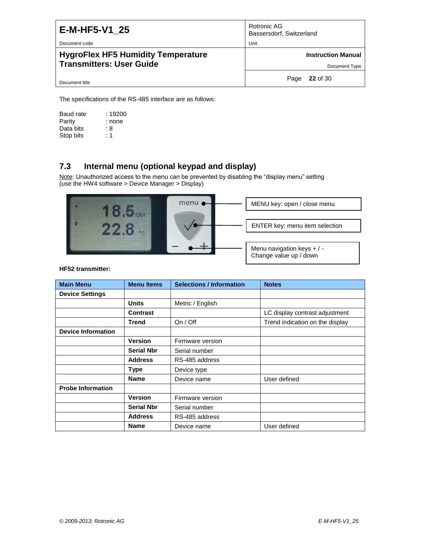Document code Unit

#### **HygroFlex HF5 Humidity Temperature Transmitters: User Guide**

Rotronic AG Bassersdorf, Switzerland

**Instruction Manual**

Document Type

Page **22** of 30

Document title

The specifications of the RS-485 interface are as follows:

Baud rate : 19200<br>Parity : none : none Data bits : 8<br>Stop bits : 1 Stop bits

### <span id="page-21-0"></span>**7.3 Internal menu (optional keypad and display)**

Note: Unauthorized access to the menu can be prevented by disabling the "display menu" setting  $\overline{(\text{use the HW4 software} > \text{Device Manager} > \text{Display})}$ 



**HF52 transmitter:**

| <b>Main Menu</b>          | <b>Menu Items</b> | <b>Selections / Information</b> | <b>Notes</b>                    |
|---------------------------|-------------------|---------------------------------|---------------------------------|
| <b>Device Settings</b>    |                   |                                 |                                 |
|                           | <b>Units</b>      | Metric / English                |                                 |
|                           | <b>Contrast</b>   |                                 | LC display contrast adjustment  |
|                           | Trend             | On / Off                        | Trend indication on the display |
| <b>Device Information</b> |                   |                                 |                                 |
|                           | <b>Version</b>    | Firmware version                |                                 |
|                           | <b>Serial Nbr</b> | Serial number                   |                                 |
|                           | <b>Address</b>    | RS-485 address                  |                                 |
|                           | Type              | Device type                     |                                 |
|                           | <b>Name</b>       | Device name                     | User defined                    |
| <b>Probe Information</b>  |                   |                                 |                                 |
|                           | <b>Version</b>    | Firmware version                |                                 |
|                           | <b>Serial Nbr</b> | Serial number                   |                                 |
|                           | <b>Address</b>    | RS-485 address                  |                                 |
|                           | <b>Name</b>       | Device name                     | User defined                    |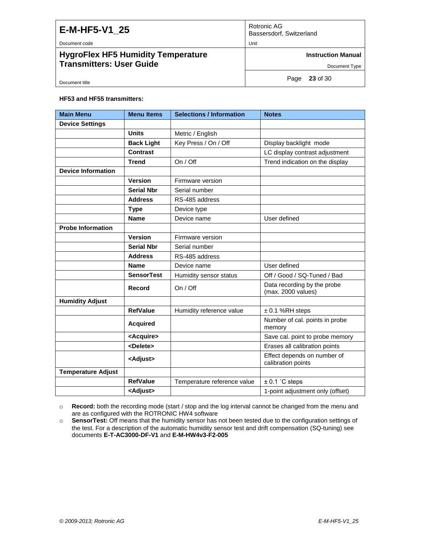| E-M-HF5-V1 25                      | Rotronic AG<br>Bassersdorf, Switzerland |
|------------------------------------|-----------------------------------------|
| Document code                      | Unit                                    |
| HygroFlex HF5 Humidity Temperature | <b>Instruction Manual</b>               |
| Transmitters: User Guide           | Document Tyne                           |

Document title

Page **23** of 30

Document Type

#### **HF53 and HF55 transmitters:**

| <b>Main Menu</b>          | <b>Menu Items</b>   | <b>Selections / Information</b> | <b>Notes</b>                                      |  |
|---------------------------|---------------------|---------------------------------|---------------------------------------------------|--|
| <b>Device Settings</b>    |                     |                                 |                                                   |  |
|                           | <b>Units</b>        | Metric / English                |                                                   |  |
|                           | <b>Back Light</b>   | Key Press / On / Off            | Display backlight mode                            |  |
|                           | Contrast            |                                 | LC display contrast adjustment                    |  |
|                           | <b>Trend</b>        | On / Off                        | Trend indication on the display                   |  |
| <b>Device Information</b> |                     |                                 |                                                   |  |
|                           | <b>Version</b>      | Firmware version                |                                                   |  |
|                           | <b>Serial Nbr</b>   | Serial number                   |                                                   |  |
|                           | <b>Address</b>      | RS-485 address                  |                                                   |  |
|                           | <b>Type</b>         | Device type                     |                                                   |  |
|                           | <b>Name</b>         | Device name                     | User defined                                      |  |
| <b>Probe Information</b>  |                     |                                 |                                                   |  |
|                           | <b>Version</b>      | Firmware version                |                                                   |  |
|                           | <b>Serial Nbr</b>   | Serial number                   |                                                   |  |
|                           | <b>Address</b>      | RS-485 address                  |                                                   |  |
|                           | <b>Name</b>         | Device name                     | User defined                                      |  |
|                           | <b>SensorTest</b>   | Humidity sensor status          | Off / Good / SQ-Tuned / Bad                       |  |
|                           | Record              | On / Off                        | Data recording by the probe<br>(max. 2000 values) |  |
| <b>Humidity Adjust</b>    |                     |                                 |                                                   |  |
|                           | <b>RefValue</b>     | Humidity reference value        | $± 0.1$ %RH steps                                 |  |
|                           | <b>Acquired</b>     |                                 | Number of cal. points in probe<br>memory          |  |
|                           | <acquire></acquire> |                                 | Save cal. point to probe memory                   |  |
|                           | <delete></delete>   |                                 | Erases all calibration points                     |  |
|                           | <adjust></adjust>   |                                 | Effect depends on number of<br>calibration points |  |
| <b>Temperature Adjust</b> |                     |                                 |                                                   |  |
|                           | <b>RefValue</b>     | Temperature reference value     | $± 0.1$ °C steps                                  |  |
|                           | <adjust></adjust>   |                                 | 1-point adjustment only (offset)                  |  |

o **Record:** both the recording mode (start / stop and the log interval cannot be changed from the menu and are as configured with the ROTRONIC HW4 software

o **SensorTest:** Off means that the humidity sensor has not been tested due to the configuration settings of the test. For a description of the automatic humidity sensor test and drift compensation (SQ-tuning) see documents **E-T-AC3000-DF-V1** and **E-M-HW4v3-F2-005**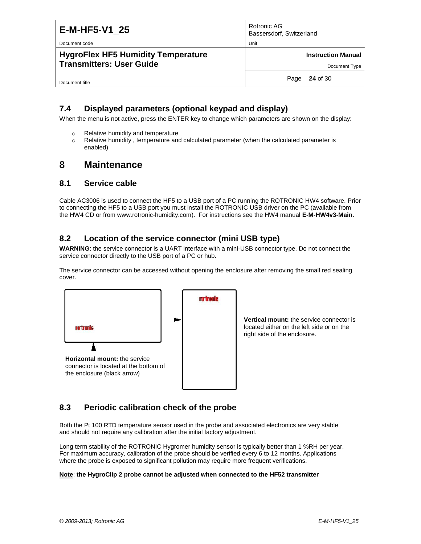| E-M-HF5-V1 25 |  |
|---------------|--|
|---------------|--|

Document code **Unit** 

#### **HygroFlex HF5 Humidity Temperature Transmitters: User Guide**

Rotronic AG Bassersdorf, Switzerland

**Instruction Manual**

Document Type

Document title

Page **24** of 30

### <span id="page-23-0"></span>**7.4 Displayed parameters (optional keypad and display)**

When the menu is not active, press the ENTER key to change which parameters are shown on the display:

- o Relative humidity and temperature
- o Relative humidity , temperature and calculated parameter (when the calculated parameter is enabled)

### <span id="page-23-1"></span>**8 Maintenance**

#### <span id="page-23-2"></span>**8.1 Service cable**

Cable AC3006 is used to connect the HF5 to a USB port of a PC running the ROTRONIC HW4 software. Prior to connecting the HF5 to a USB port you must install the ROTRONIC USB driver on the PC (available from the HW4 CD or from www.rotronic-humidity.com). For instructions see the HW4 manual **E-M-HW4v3-Main.**

### <span id="page-23-3"></span>**8.2 Location of the service connector (mini USB type)**

**WARNING**: the service connector is a UART interface with a mini-USB connector type. Do not connect the service connector directly to the USB port of a PC or hub.

The service connector can be accessed without opening the enclosure after removing the small red sealing cover.



**Vertical mount:** the service connector is located either on the left side or on the right side of the enclosure.

### <span id="page-23-4"></span>**8.3 Periodic calibration check of the probe**

Both the Pt 100 RTD temperature sensor used in the probe and associated electronics are very stable and should not require any calibration after the initial factory adjustment.

Long term stability of the ROTRONIC Hygromer humidity sensor is typically better than 1 %RH per year. For maximum accuracy, calibration of the probe should be verified every 6 to 12 months. Applications where the probe is exposed to significant pollution may require more frequent verifications.

#### **Note**: **the HygroClip 2 probe cannot be adjusted when connected to the HF52 transmitter**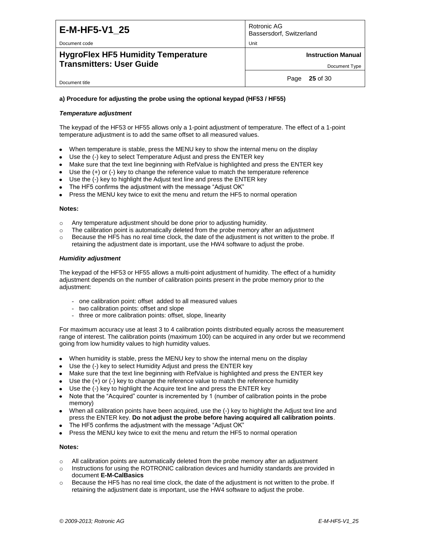Rotronic AG Bassersdorf, Switzerland

#### Document code **Unit**

#### **HygroFlex HF5 Humidity Temperature Transmitters: User Guide**

**Instruction Manual**

Document Type

Document title

Page **25** of 30

#### **a) Procedure for adjusting the probe using the optional keypad (HF53 / HF55)**

#### *Temperature adjustment*

The keypad of the HF53 or HF55 allows only a 1-point adjustment of temperature. The effect of a 1-point temperature adjustment is to add the same offset to all measured values.

- When temperature is stable, press the MENU key to show the internal menu on the display  $\bullet$
- Use the (-) key to select Temperature Adjust and press the ENTER key
- Make sure that the text line beginning with RefValue is highlighted and press the ENTER key
- Use the  $(+)$  or  $(-)$  key to change the reference value to match the temperature reference
- Use the (-) key to highlight the Adjust text line and press the ENTER key
- The HF5 confirms the adjustment with the message "Adjust OK"
- Press the MENU key twice to exit the menu and return the HF5 to normal operation

#### **Notes:**

- o Any temperature adjustment should be done prior to adjusting humidity.
- $\circ$  The calibration point is automatically deleted from the probe memory after an adjustment
- o Because the HF5 has no real time clock, the date of the adjustment is not written to the probe. If retaining the adjustment date is important, use the HW4 software to adjust the probe.

#### *Humidity adjustment*

The keypad of the HF53 or HF55 allows a multi-point adjustment of humidity. The effect of a humidity adjustment depends on the number of calibration points present in the probe memory prior to the adjustment:

- one calibration point: offset added to all measured values
- two calibration points: offset and slope
- three or more calibration points: offset, slope, linearity

For maximum accuracy use at least 3 to 4 calibration points distributed equally across the measurement range of interest. The calibration points (maximum 100) can be acquired in any order but we recommend going from low humidity values to high humidity values.

- When humidity is stable, press the MENU key to show the internal menu on the display
- Use the (-) key to select Humidity Adjust and press the ENTER key
- Make sure that the text line beginning with RefValue is highlighted and press the ENTER key
- Use the (+) or (-) key to change the reference value to match the reference humidity
- Use the (-) key to highlight the Acquire text line and press the ENTER key
- Note that the "Acquired" counter is incremented by 1 (number of calibration points in the probe memory)
- When all calibration points have been acquired, use the (-) key to highlight the Adjust text line and press the ENTER key. **Do not adjust the probe before having acquired all calibration points**.
- The HF5 confirms the adjustment with the message "Adjust OK"
- Press the MENU key twice to exit the menu and return the HF5 to normal operation

#### **Notes:**

- $\circ$  All calibration points are automatically deleted from the probe memory after an adjustment
- o Instructions for using the ROTRONIC calibration devices and humidity standards are provided in document **E-M-CalBasics**
- $\circ$  Because the HF5 has no real time clock, the date of the adjustment is not written to the probe. If retaining the adjustment date is important, use the HW4 software to adjust the probe.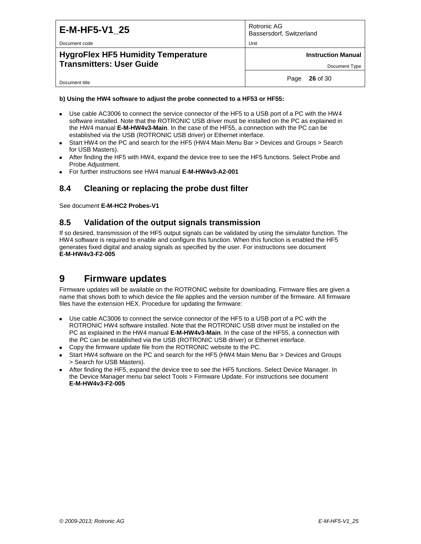| E-M-HF5-V1 25<br>Document code                                               | Rotronic AG<br>Bassersdorf, Switzerland<br>Unit |
|------------------------------------------------------------------------------|-------------------------------------------------|
| <b>HygroFlex HF5 Humidity Temperature</b><br><b>Transmitters: User Guide</b> | <b>Instruction Manual</b><br>Document Type      |
| Document title                                                               | <b>26</b> of 30<br>Page                         |

#### **b) Using the HW4 software to adjust the probe connected to a HF53 or HF55:**

- Use cable AC3006 to connect the service connector of the HF5 to a USB port of a PC with the HW4 software installed. Note that the ROTRONIC USB driver must be installed on the PC as explained in the HW4 manual **E-M-HW4v3-Main**. In the case of the HF55, a connection with the PC can be established via the USB (ROTRONIC USB driver) or Ethernet interface.
- Start HW4 on the PC and search for the HF5 (HW4 Main Menu Bar > Devices and Groups > Search for USB Masters).
- After finding the HF5 with HW4, expand the device tree to see the HF5 functions. Select Probe and Probe Adjustment.
- <span id="page-25-0"></span>For further instructions see HW4 manual **E-M-HW4v3-A2-001**

#### **8.4 Cleaning or replacing the probe dust filter**

<span id="page-25-1"></span>See document **E-M-HC2 Probes-V1**

#### **8.5 Validation of the output signals transmission**

If so desired, transmission of the HF5 output signals can be validated by using the simulator function. The HW4 software is required to enable and configure this function. When this function is enabled the HF5 generates fixed digital and analog signals as specified by the user. For instructions see document **E-M-HW4v3-F2-005**

### <span id="page-25-2"></span>**9 Firmware updates**

Firmware updates will be available on the ROTRONIC website for downloading. Firmware files are given a name that shows both to which device the file applies and the version number of the firmware. All firmware files have the extension HEX. Procedure for updating the firmware:

- Use cable AC3006 to connect the service connector of the HF5 to a USB port of a PC with the ROTRONIC HW4 software installed. Note that the ROTRONIC USB driver must be installed on the PC as explained in the HW4 manual **E-M-HW4v3-Main**. In the case of the HF55, a connection with the PC can be established via the USB (ROTRONIC USB driver) or Ethernet interface.
- Copy the firmware update file from the ROTRONIC website to the PC.
- Start HW4 software on the PC and search for the HF5 (HW4 Main Menu Bar > Devices and Groups > Search for USB Masters).
- After finding the HF5, expand the device tree to see the HF5 functions. Select Device Manager. In the Device Manager menu bar select Tools > Firmware Update. For instructions see document **E-M-HW4v3-F2-005**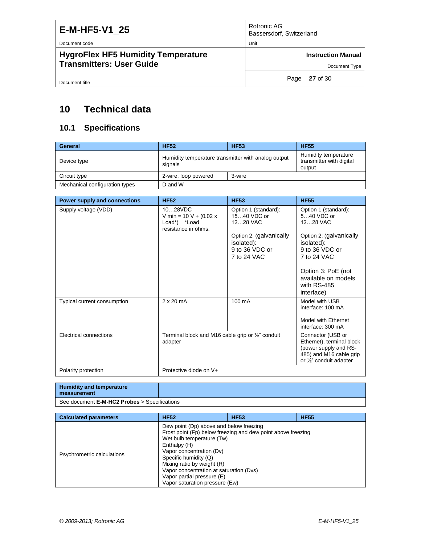Document code Unit

### **HygroFlex HF5 Humidity Temperature Transmitters: User Guide**

Rotronic AG Bassersdorf, Switzerland

**Instruction Manual**

Document Type

Document title

Page **27** of 30

# <span id="page-26-0"></span>**10 Technical data**

### <span id="page-26-1"></span>**10.1 Specifications**

| General                        | <b>HF52</b>                                                    | <b>HF53</b> | <b>HF55</b>                                                |
|--------------------------------|----------------------------------------------------------------|-------------|------------------------------------------------------------|
| Device type                    | Humidity temperature transmitter with analog output<br>signals |             | Humidity temperature<br>transmitter with digital<br>output |
| Circuit type                   | 2-wire, loop powered                                           | 3-wire      |                                                            |
| Mechanical configuration types | D and W                                                        |             |                                                            |

| Power supply and connections | <b>HF52</b>                                                                 | <b>HF53</b>                                             | <b>HF55</b>                                                                                                                   |
|------------------------------|-----------------------------------------------------------------------------|---------------------------------------------------------|-------------------------------------------------------------------------------------------------------------------------------|
| Supply voltage (VDD)         | 1028VDC<br>V min = $10 V + (0.02 x)$<br>Load*) *Load<br>resistance in ohms. | Option 1 (standard):<br>1540 VDC or<br>1228 VAC         | Option 1 (standard):<br>540 VDC or<br>1228 VAC                                                                                |
|                              |                                                                             | Option 2: (galvanically<br>isolated):<br>9 to 36 VDC or | Option 2: (galvanically<br>isolated):<br>9 to 36 VDC or                                                                       |
|                              |                                                                             | 7 to 24 VAC                                             | 7 to 24 VAC                                                                                                                   |
|                              |                                                                             |                                                         | Option 3: PoE (not<br>available on models<br>with RS-485<br>interface)                                                        |
| Typical current consumption  | $2 \times 20$ mA                                                            | 100 mA                                                  | Model with USB<br>interface: 100 mA                                                                                           |
|                              |                                                                             |                                                         | Model with Ethernet<br>interface: 300 mA                                                                                      |
| Electrical connections       | Terminal block and M16 cable grip or $\frac{1}{2}$ conduit<br>adapter       |                                                         | Connector (USB or<br>Ethernet), terminal block<br>(power supply and RS-<br>485) and M16 cable grip<br>or 1/2" conduit adapter |
| Polarity protection          | Protective diode on V+                                                      |                                                         |                                                                                                                               |

| Humidity and temperature<br>measurement      |  |
|----------------------------------------------|--|
| See document E-M-HC2 Probes > Specifications |  |

| <b>Calculated parameters</b> | <b>HF52</b>                                                                                                                                                                                                                                                                        | <b>HF53</b>                                                  | <b>HF55</b> |
|------------------------------|------------------------------------------------------------------------------------------------------------------------------------------------------------------------------------------------------------------------------------------------------------------------------------|--------------------------------------------------------------|-------------|
| Psychrometric calculations   | Dew point (Dp) above and below freezing<br>Wet bulb temperature (Tw)<br>Enthalpy (H)<br>Vapor concentration (Dv)<br>Specific humidity (Q)<br>Mixing ratio by weight (R)<br>Vapor concentration at saturation (Dvs)<br>Vapor partial pressure (E)<br>Vapor saturation pressure (Ew) | Frost point (Fp) below freezing and dew point above freezing |             |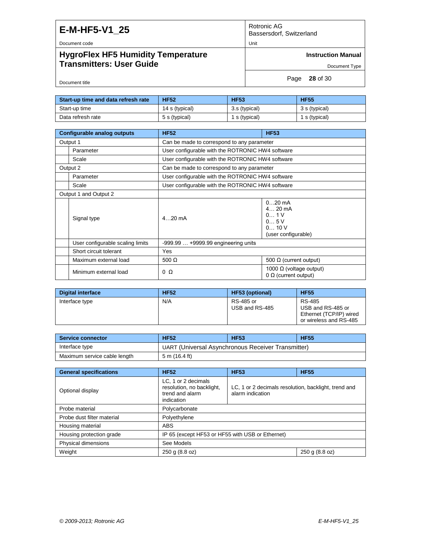Rotronic AG Bassersdorf, Switzerland

Document code Unit

### **HygroFlex HF5 Humidity Temperature Transmitters: User Guide**

**Instruction Manual**

Document Type

Page **28** of 30

Document title

| Start-up time and data refresh rate | <b>HF52</b>    | <b>HF53</b>   | <b>HF55</b>   |
|-------------------------------------|----------------|---------------|---------------|
| Start-up time                       | 14 s (typical) | 3.s (typical) | 3 s (typical) |
| Data refresh rate                   | 5 s (typical)  | 1 s (typical) | 1 s (typical) |

| Configurable analog outputs      | <b>HF52</b>                                      | <b>HF53</b>                                                         |
|----------------------------------|--------------------------------------------------|---------------------------------------------------------------------|
| Output 1                         | Can be made to correspond to any parameter       |                                                                     |
| Parameter                        | User configurable with the ROTRONIC HW4 software |                                                                     |
| Scale                            | User configurable with the ROTRONIC HW4 software |                                                                     |
| Output 2                         | Can be made to correspond to any parameter       |                                                                     |
| Parameter                        | User configurable with the ROTRONIC HW4 software |                                                                     |
| Scale                            | User configurable with the ROTRONIC HW4 software |                                                                     |
| Output 1 and Output 2            |                                                  |                                                                     |
| Signal type                      | 4 $20 \text{ mA}$                                | $020$ mA<br>$4 20$ mA<br>0 1V<br>05V<br>010V<br>(user configurable) |
| User configurable scaling limits | $-999.99+9999.99$ engineering units              |                                                                     |
| Short circuit tolerant           | Yes                                              |                                                                     |
| Maximum external load            | 500 $\Omega$                                     | 500 Ω (current output)                                              |
| Minimum external load            | $0\Omega$                                        | 1000 Ω (voltage output)<br>$0 \Omega$ (current output)              |

| <b>Digital interface</b> | <b>HF52</b> | <b>HF53 (optional)</b>      | <b>HF55</b>                                                                      |
|--------------------------|-------------|-----------------------------|----------------------------------------------------------------------------------|
| Interface type           | N/A         | RS-485 or<br>USB and RS-485 | RS-485<br>USB and RS-485 or<br>Ethernet (TCP/IP) wired<br>or wireless and RS-485 |

| <b>Service connector</b>     | <b>HF52</b>   | <b>HF53</b>                                        | <b>HF55</b> |
|------------------------------|---------------|----------------------------------------------------|-------------|
| Interface type               |               | UART (Universal Asynchronous Receiver Transmitter) |             |
| Maximum service cable length | 5 m (16.4 ft) |                                                    |             |

| <b>General specifications</b> | <b>HF52</b>                                                                       | <b>HF53</b>                                                              | <b>HF55</b>    |
|-------------------------------|-----------------------------------------------------------------------------------|--------------------------------------------------------------------------|----------------|
| Optional display              | LC, 1 or 2 decimals<br>resolution, no backlight,<br>trend and alarm<br>indication | LC, 1 or 2 decimals resolution, backlight, trend and<br>alarm indication |                |
| Probe material                | Polycarbonate                                                                     |                                                                          |                |
| Probe dust filter material    | Polyethylene                                                                      |                                                                          |                |
| Housing material              | <b>ABS</b>                                                                        |                                                                          |                |
| Housing protection grade      | IP 65 (except HF53 or HF55 with USB or Ethernet)                                  |                                                                          |                |
| Physical dimensions           | See Models                                                                        |                                                                          |                |
| Weight                        | 250 g (8.8 oz)                                                                    |                                                                          | 250 g (8.8 oz) |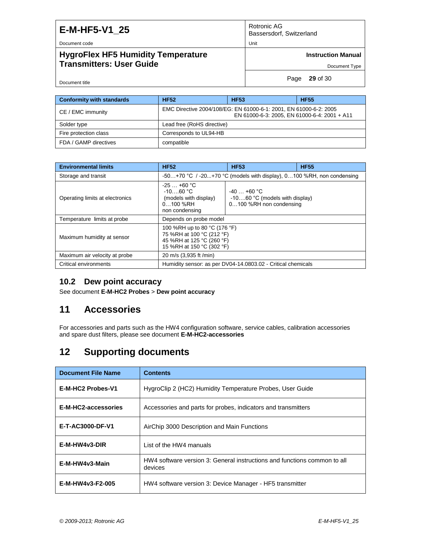Rotronic AG Bassersdorf, Switzerland

Document code Unit

Document title

### **HygroFlex HF5 Humidity Temperature Transmitters: User Guide**

**Instruction Manual**

Document Type

Page **29** of 30

| <b>Conformity with standards</b> | <b>HF52</b>                                                                                                       | <b>HF53</b> | <b>HF55</b> |
|----------------------------------|-------------------------------------------------------------------------------------------------------------------|-------------|-------------|
| CE / EMC immunity                | EMC Directive 2004/108/EG: EN 61000-6-1: 2001, EN 61000-6-2: 2005<br>EN 61000-6-3: 2005, EN 61000-6-4: 2001 + A11 |             |             |
| Solder type                      | Lead free (RoHS directive)                                                                                        |             |             |
| Fire protection class            | Corresponds to UL94-HB                                                                                            |             |             |
| FDA / GAMP directives            | compatible                                                                                                        |             |             |

| <b>Environmental limits</b>     | <b>HF52</b>                                                                                                         | <b>HF53</b>                                                                   | <b>HF55</b> |
|---------------------------------|---------------------------------------------------------------------------------------------------------------------|-------------------------------------------------------------------------------|-------------|
| Storage and transit             |                                                                                                                     | -50+70 °C / -20+70 °C (models with display), 0100 %RH, non condensing         |             |
| Operating limits at electronics | $-25$ $+60$ °C<br>$-1060 °C$<br>(models with display)<br>$0100$ %RH<br>non condensing                               | $-40$ $+60$ °C<br>$-1060$ °C (models with display)<br>0100 %RH non condensing |             |
| Temperature limits at probe     | Depends on probe model                                                                                              |                                                                               |             |
| Maximum humidity at sensor      | 100 %RH up to 80 °C (176 °F)<br>75 %RH at 100 °C (212 °F)<br>45 %RH at 125 °C (260 °F)<br>15 %RH at 150 °C (302 °F) |                                                                               |             |
| Maximum air velocity at probe   | 20 m/s (3,935 ft /min)                                                                                              |                                                                               |             |
| Critical environments           | Humidity sensor: as per DV04-14.0803.02 - Critical chemicals                                                        |                                                                               |             |

#### <span id="page-28-0"></span>**10.2 Dew point accuracy**

<span id="page-28-1"></span>See document **E-M-HC2 Probes** > **Dew point accuracy**

### **11 Accessories**

For accessories and parts such as the HW4 configuration software, service cables, calibration accessories and spare dust filters, please see document **E-M-HC2-accessories**

# <span id="page-28-2"></span>**12 Supporting documents**

| <b>Document File Name</b> | <b>Contents</b>                                                                     |
|---------------------------|-------------------------------------------------------------------------------------|
| E-M-HC2 Probes-V1         | HygroClip 2 (HC2) Humidity Temperature Probes, User Guide                           |
| E-M-HC2-accessories       | Accessories and parts for probes, indicators and transmitters                       |
| E-T-AC3000-DF-V1          | AirChip 3000 Description and Main Functions                                         |
| $E-M-HW4v3-DIR$           | List of the HW4 manuals                                                             |
| E-M-HW4v3-Main            | HW4 software version 3: General instructions and functions common to all<br>devices |
| E-M-HW4v3-F2-005          | HW4 software version 3: Device Manager - HF5 transmitter                            |